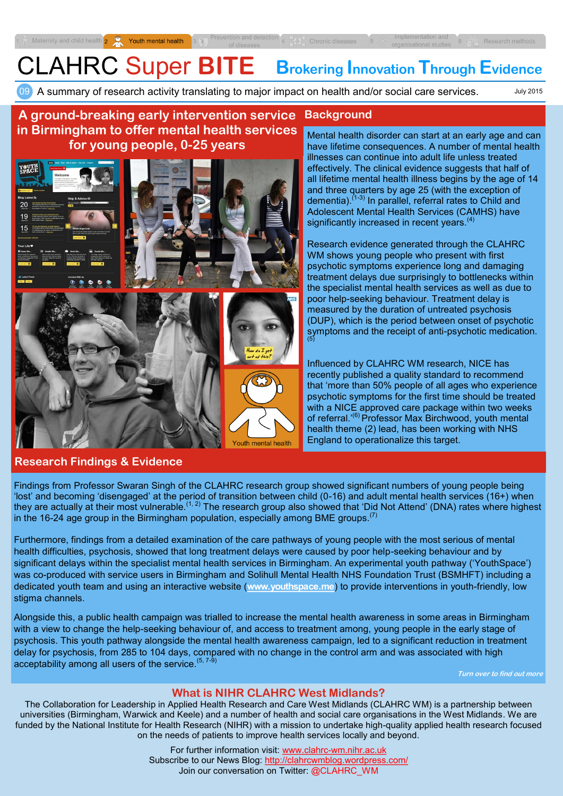July 2015

# CLAHRC Super **BITE Brokering Innovation Through Evidence**

09 A summary of research activity translating to major impact on health and/or social care services.

#### **A ground-breaking early intervention service Background in Birmingham to offer mental health services**  Mental health disorder can start at an early age and can **for young people, 0-25 years** have lifetime consequences. A number of mental health illnesses can continue into adult life unless treated effectively. The clinical evidence suggests that half of **YOUTH** all lifetime mental health illness begins by the age of 14 and three quarters by age 25 (with the exception of dementia). $(1-3)$  In parallel, referral rates to Child and Adolescent Mental Health Services (CAMHS) have  $19$ significantly increased in recent years.<sup>(4)</sup> Research evidence generated through the CLAHRC WM shows young people who present with first psychotic symptoms experience long and damaging treatment delays due surprisingly to bottlenecks within the specialist mental health services as well as due to poor help-seeking behaviour. Treatment delay is measured by the duration of untreated psychosis (DUP), which is the period between onset of psychotic symptoms and the receipt of anti-psychotic medication. (5) Influenced by CLAHRC WM research, NICE has recently published a quality standard to recommend that 'more than 50% people of all ages who experience psychotic symptoms for the first time should be treated with a NICE approved care package within two weeks of referral.<sup>'(6)</sup> Professor Max Birchwood, youth mental health theme (2) lead, has been working with NHS England to operationalize this target. Youth mental health

## **Research Findings & Evidence**

Findings from Professor Swaran Singh of the CLAHRC research group showed significant numbers of young people being 'lost' and becoming 'disengaged' at the period of transition between child (0-16) and adult mental health services (16+) when they are actually at their most vulnerable.<sup>(1, 2)</sup> The research group also showed that 'Did Not Attend' (DNA) rates where highest in the 16-24 age group in the Birmingham population, especially among BME groups.<sup>(7)</sup>

Furthermore, findings from a detailed examination of the care pathways of young people with the most serious of mental health difficulties, psychosis, showed that long treatment delays were caused by poor help-seeking behaviour and by significant delays within the specialist mental health services in Birmingham. An experimental youth pathway ('YouthSpace') was co-produced with service users in Birmingham and Solihull Mental Health NHS Foundation Trust (BSMHFT) including a dedicated youth team and using an interactive website (**[www.youthspace.me](http://www.youthspace.me)**) to provide interventions in youth-friendly, low stigma channels.

Alongside this, a public health campaign was trialled to increase the mental health awareness in some areas in Birmingham with a view to change the help-seeking behaviour of, and access to treatment among, young people in the early stage of psychosis. This youth pathway alongside the mental health awareness campaign, led to a significant reduction in treatment delay for psychosis, from 285 to 104 days, compared with no change in the control arm and was associated with high acceptability among all users of the service.  $(5, 7-9)$ 

**Turn over to find out more**

# **What is NIHR CLAHRC West Midlands?**

The Collaboration for Leadership in Applied Health Research and Care West Midlands (CLAHRC WM) is a partnership between universities (Birmingham, Warwick and Keele) and a number of health and social care organisations in the West Midlands. We are funded by the National Institute for Health Research (NIHR) with a mission to undertake high-quality applied health research focused on the needs of patients to improve health services locally and beyond.

> For further information visit: www.clahrc-[wm.nihr.ac.uk](http://www.clahrc-bbc.nihr.ac.uk) Subscribe to our News Blog:<http://clahrcwmblog.wordpress.com/> Join our conversation on Twitter: @CLAHRC\_WM